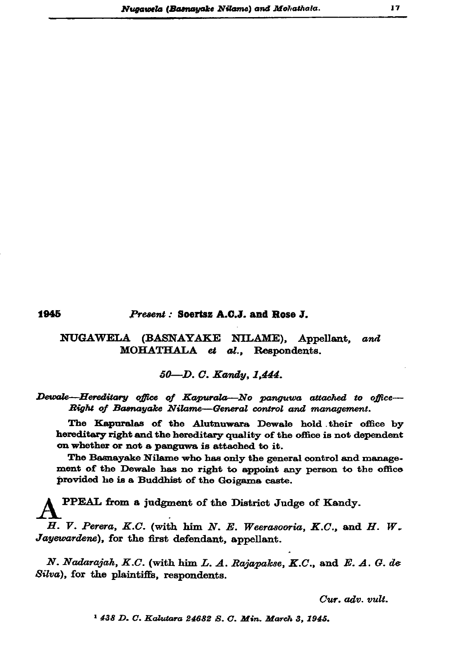## Present: Soertsz A.C.J. and Rose J.

## NUGAWELA (BASNAYAKE NILAME), Appellant, and MOHATHALA et al., Respondents.

## 50-D. C. Kandy, 1,444.

Dewale-Hereditary office of Kapurala-No panguwa attached to office-Right of Basnayake Nilame-General control and management.

The Kapuralas of the Alutnuwara Dewale hold their office by hereditary right and the hereditary quality of the office is not dependent on whether or not a panguwa is attached to it.

The Basnayake Nilame who has only the general control and management of the Dewale has no right to appoint any person to the office provided he is a Buddhist of the Goigama caste.

PPEAL from a judgment of the District Judge of Kandy. H. V. Perera, K.C. (with him N. E. Weerasooria, K.C., and H. W. Jayewardene), for the first defendant, appellant.

N. Nadarajah, K.C. (with him L. A. Rajapakse, K.C., and E. A. G. de Silva), for the plaintiffs, respondents.

Cur. adv. vult.

 $17$ 

<sup>1</sup> 438 D. C. Kalutara 24682 S. C. Min. March 3, 1945.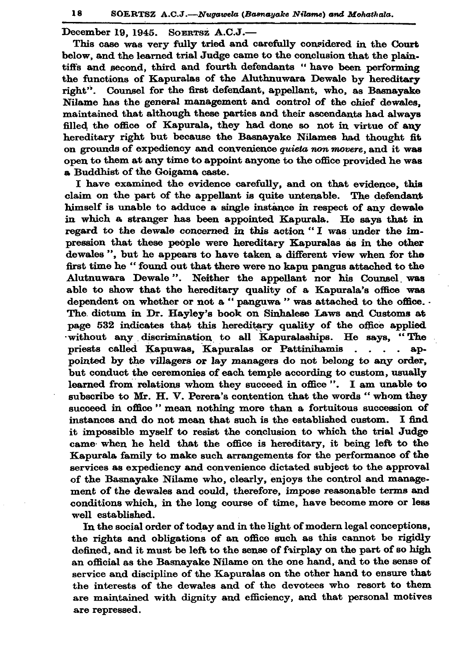December 19, 1945. SOERTSZ A.C.J.-

This case was very fully tried and carefully considered in the Court below, and the learned trial Judge came to the conclusion that the plaintiffs and second, third and fourth defendants "have been performing the functions of Kapuralas of the Aluthnuwara Dewale by hereditary right". Counsel for the first defendant, appellant, who, as Basnavake Nilame has the general management and control of the chief dewales. maintained that although these parties and their ascendants had always filled the office of Kapurala, they had done so not in virtue of any hereditary right but because the Basnayake Nilames had thought fit on grounds of expediency and convenience quieta non movere, and it was open to them at any time to appoint anyone to the office provided he was a Buddhist of the Goigama caste.

I have examined the evidence carefully, and on that evidence, this claim on the part of the appellant is quite untenable. The defendant himself is unable to adduce a single instance in respect of any dewale in which a stranger has been appointed Kapurala. He savs that in regard to the dewale concerned in this action "I was under the impression that these people were hereditary Kapuralas as in the other dewales", but he appears to have taken a different view when for the first time he "found out that there were no kapu pangus attached to the Alutnuwara Dewale". Neither the appellant nor his Counsel was able to show that the hereditary quality of a Kapurala's office was dependent on whether or not a "panguwa " was attached to the office. . The dictum in Dr. Hayley's book on Sinhalese Laws and Customs at page 532 indicates that this hereditary quality of the office applied without any discrimination to all Kapuralaships. He says, "The priests called Kapuwas, Kapuralas or Pattinihamis . . . . appointed by the villagers or lay managers do not belong to any order, but conduct the ceremonies of each temple according to custom, usually learned from relations whom they succeed in office". I am unable to subscribe to Mr. H. V. Perera's contention that the words "whom they succeed in office " mean nothing more than a fortuitous succession of instances and do not mean that such is the established custom. I find it impossible myself to resist the conclusion to which the trial Judge came when he held that the office is hereditary, it being left to the Kapurala family to make such arrangements for the performance of the services as expediency and convenience dictated subject to the approval of the Basnayake Nilame who, clearly, enjoys the control and management of the dewales and could, therefore, impose reasonable terms and conditions which, in the long course of time, have become more or less well established.

In the social order of today and in the light of modern legal conceptions, the rights and obligations of an office such as this cannot be rigidly defined, and it must be left to the sense of fairplay on the part of so high an official as the Basnayake Nilame on the one hand, and to the sense of service and discipline of the Kapuralas on the other hand to ensure that the interests of the dewales and of the devotees who resort to them are maintained with dignity and efficiency, and that personal motives are repressed.